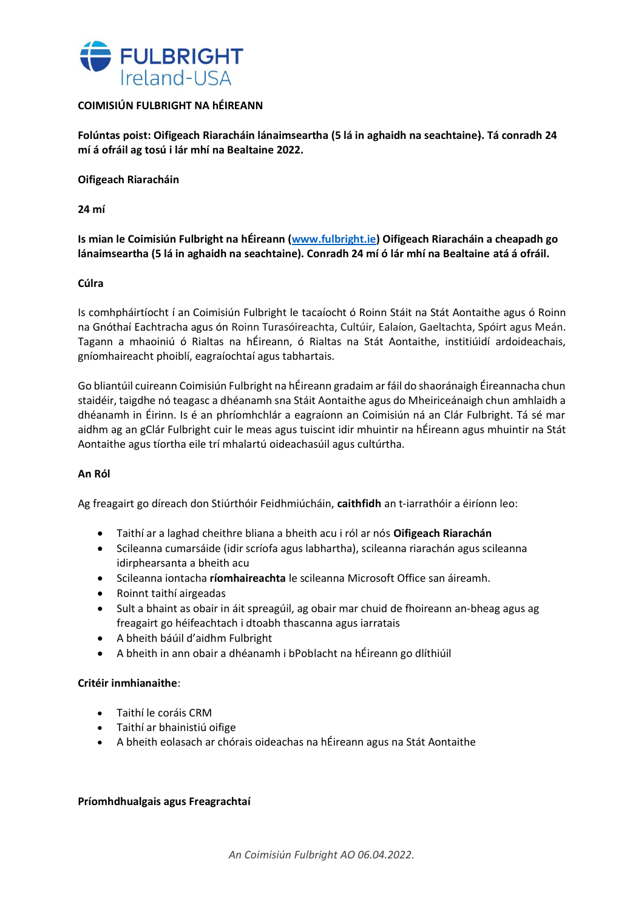

# **COIMISIÚN FULBRIGHT NA hÉIREANN**

**Folúntas poist: Oifigeach Riaracháin lánaimseartha (5 lá in aghaidh na seachtaine). Tá conradh 24 mí á ofráil ag tosú i lár mhí na Bealtaine 2022.**

**Oifigeach Riaracháin**

**24 mí**

**Is mian le Coimisiún Fulbright na hÉireann [\(www.fulbright.ie\)](http://www.fulbright.ie/) Oifigeach Riaracháin a cheapadh go lánaimseartha (5 lá in aghaidh na seachtaine). Conradh 24 mí ó lár mhí na Bealtaine atá á ofráil.**

## **Cúlra**

Is comhpháirtíocht í an Coimisiún Fulbright le tacaíocht ó Roinn Stáit na Stát Aontaithe agus ó Roinn na Gnóthaí Eachtracha agus ón Roinn Turasóireachta, Cultúir, Ealaíon, Gaeltachta, Spóirt agus Meán. Tagann a mhaoiniú ó Rialtas na hÉireann, ó Rialtas na Stát Aontaithe, institiúidí ardoideachais, gníomhaireacht phoiblí, eagraíochtaí agus tabhartais.

Go bliantúil cuireann Coimisiún Fulbright na hÉireann gradaim ar fáil do shaoránaigh Éireannacha chun staidéir, taigdhe nó teagasc a dhéanamh sna Stáit Aontaithe agus do Mheiriceánaigh chun amhlaidh a dhéanamh in Éirinn. Is é an phríomhchlár a eagraíonn an Coimisiún ná an Clár Fulbright. Tá sé mar aidhm ag an gClár Fulbright cuir le meas agus tuiscint idir mhuintir na hÉireann agus mhuintir na Stát Aontaithe agus tíortha eile trí mhalartú oideachasúil agus cultúrtha.

## **An Ról**

Ag freagairt go díreach don Stiúrthóir Feidhmiúcháin, **caithfidh** an t-iarrathóir a éiríonn leo:

- Taithí ar a laghad cheithre bliana a bheith acu i ról ar nós **Oifigeach Riarachán**
- Scileanna cumarsáide (idir scríofa agus labhartha), scileanna riarachán agus scileanna idirphearsanta a bheith acu
- Scileanna iontacha **ríomhaireachta** le scileanna Microsoft Office san áireamh.
- Roinnt taithí airgeadas
- Sult a bhaint as obair in áit spreagúil, ag obair mar chuid de fhoireann an-bheag agus ag freagairt go héifeachtach i dtoabh thascanna agus iarratais
- A bheith báúil d'aidhm Fulbright
- A bheith in ann obair a dhéanamh i bPoblacht na hÉireann go dlíthiúil

## **Critéir inmhianaithe**:

- Taithí le coráis CRM
- Taithí ar bhainistiú oifige
- A bheith eolasach ar chórais oideachas na hÉireann agus na Stát Aontaithe

### **Príomhdhualgais agus Freagrachtaí**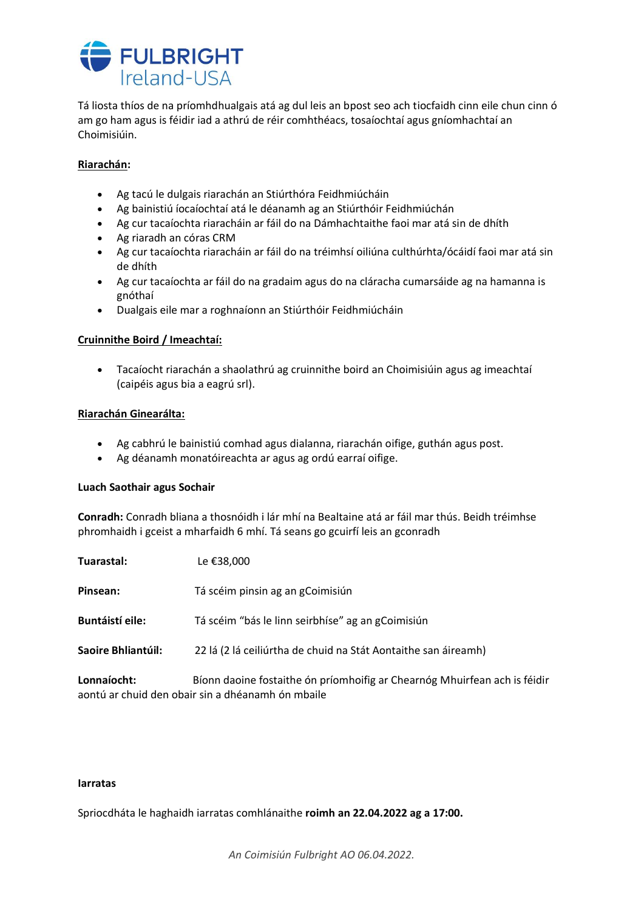

Tá liosta thíos de na príomhdhualgais atá ag dul leis an bpost seo ach tiocfaidh cinn eile chun cinn ó am go ham agus is féidir iad a athrú de réir comhthéacs, tosaíochtaí agus gníomhachtaí an Choimisiúin.

## **Riarachán:**

- Ag tacú le dulgais riarachán an Stiúrthóra Feidhmiúcháin
- Ag bainistiú íocaíochtaí atá le déanamh ag an Stiúrthóir Feidhmiúchán
- Ag cur tacaíochta riaracháin ar fáil do na Dámhachtaithe faoi mar atá sin de dhíth
- Ag riaradh an córas CRM
- Ag cur tacaíochta riaracháin ar fáil do na tréimhsí oiliúna culthúrhta/ócáidí faoi mar atá sin de dhíth
- Ag cur tacaíochta ar fáil do na gradaim agus do na cláracha cumarsáide ag na hamanna is gnóthaí
- Dualgais eile mar a roghnaíonn an Stiúrthóir Feidhmiúcháin

# **Cruinnithe Boird / Imeachtaí:**

• Tacaíocht riarachán a shaolathrú ag cruinnithe boird an Choimisiúin agus ag imeachtaí (caipéis agus bia a eagrú srl).

## **Riarachán Ginearálta:**

- Ag cabhrú le bainistiú comhad agus dialanna, riarachán oifige, guthán agus post.
- Ag déanamh monatóireachta ar agus ag ordú earraí oifige.

## **Luach Saothair agus Sochair**

**Conradh:** Conradh bliana a thosnóidh i lár mhí na Bealtaine atá ar fáil mar thús. Beidh tréimhse phromhaidh i gceist a mharfaidh 6 mhí. Tá seans go gcuirfí leis an gconradh

| Tuarastal:         | Le €38,000                                                                                                                     |
|--------------------|--------------------------------------------------------------------------------------------------------------------------------|
| Pinsean:           | Tá scéim pinsin ag an gCoimisiún                                                                                               |
| Buntáistí eile:    | Tá scéim "bás le linn seirbhíse" ag an gCoimisiún                                                                              |
| Saoire Bhliantúil: | 22 lá (2 lá ceiliúrtha de chuid na Stát Aontaithe san áireamh)                                                                 |
| Lonnaíocht:        | Bíonn daoine fostaithe ón príomhoifig ar Chearnóg Mhuirfean ach is féidir<br>aontú ar chuid den obair sin a dhéanamh ón mbaile |

### **Iarratas**

Spriocdháta le haghaidh iarratas comhlánaithe **roimh an 22.04.2022 ag a 17:00.**